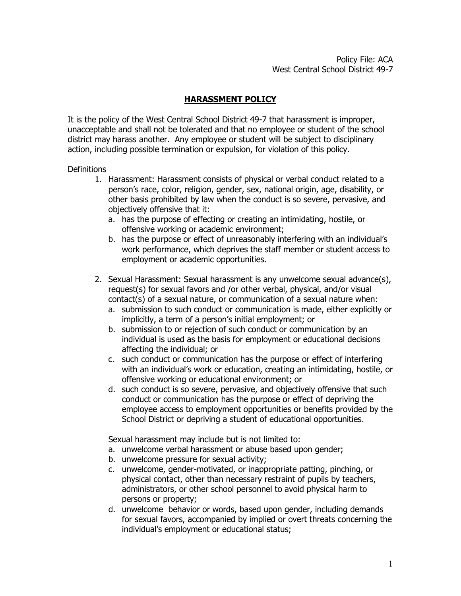## **HARASSMENT POLICY**

It is the policy of the West Central School District 49-7 that harassment is improper, unacceptable and shall not be tolerated and that no employee or student of the school district may harass another. Any employee or student will be subject to disciplinary action, including possible termination or expulsion, for violation of this policy.

## **Definitions**

- 1. Harassment: Harassment consists of physical or verbal conduct related to a person's race, color, religion, gender, sex, national origin, age, disability, or other basis prohibited by law when the conduct is so severe, pervasive, and objectively offensive that it:
	- a. has the purpose of effecting or creating an intimidating, hostile, or offensive working or academic environment;
	- b. has the purpose or effect of unreasonably interfering with an individual's work performance, which deprives the staff member or student access to employment or academic opportunities.
- 2. Sexual Harassment: Sexual harassment is any unwelcome sexual advance(s), request(s) for sexual favors and /or other verbal, physical, and/or visual contact(s) of a sexual nature, or communication of a sexual nature when:
	- a. submission to such conduct or communication is made, either explicitly or implicitly, a term of a person's initial employment; or
	- b. submission to or rejection of such conduct or communication by an individual is used as the basis for employment or educational decisions affecting the individual; or
	- c. such conduct or communication has the purpose or effect of interfering with an individual's work or education, creating an intimidating, hostile, or offensive working or educational environment; or
	- d. such conduct is so severe, pervasive, and objectively offensive that such conduct or communication has the purpose or effect of depriving the employee access to employment opportunities or benefits provided by the School District or depriving a student of educational opportunities.

Sexual harassment may include but is not limited to:

- a. unwelcome verbal harassment or abuse based upon gender;
- b. unwelcome pressure for sexual activity;
- c. unwelcome, gender-motivated, or inappropriate patting, pinching, or physical contact, other than necessary restraint of pupils by teachers, administrators, or other school personnel to avoid physical harm to persons or property;
- d. unwelcome behavior or words, based upon gender, including demands for sexual favors, accompanied by implied or overt threats concerning the individual's employment or educational status;